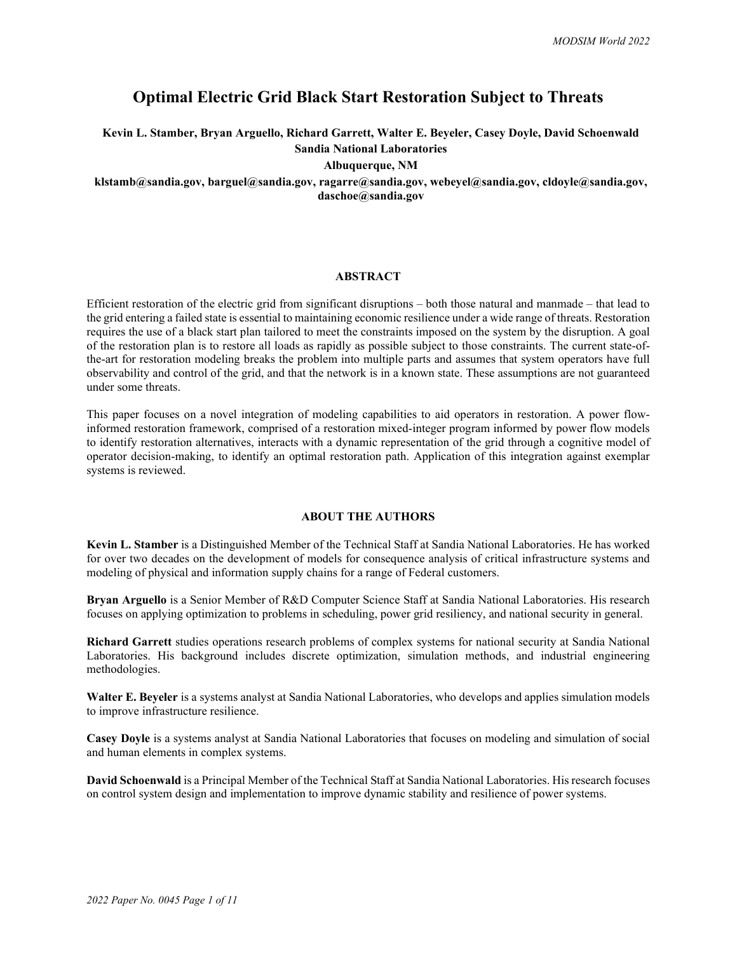# **Optimal Electric Grid Black Start Restoration Subject to Threats**

**Kevin L. Stamber, Bryan Arguello, Richard Garrett, Walter E. Beyeler, Casey Doyle, David Schoenwald Sandia National Laboratories**

**Albuquerque, NM**

# **klstamb@sandia.gov, barguel@sandia.gov, ragarre@sandia.gov, webeyel@sandia.gov, cldoyle@sandia.gov, daschoe@sandia.gov**

### **ABSTRACT**

Efficient restoration of the electric grid from significant disruptions – both those natural and manmade – that lead to the grid entering a failed state is essential to maintaining economic resilience under a wide range of threats. Restoration requires the use of a black start plan tailored to meet the constraints imposed on the system by the disruption. A goal of the restoration plan is to restore all loads as rapidly as possible subject to those constraints. The current state-ofthe-art for restoration modeling breaks the problem into multiple parts and assumes that system operators have full observability and control of the grid, and that the network is in a known state. These assumptions are not guaranteed under some threats.

This paper focuses on a novel integration of modeling capabilities to aid operators in restoration. A power flowinformed restoration framework, comprised of a restoration mixed-integer program informed by power flow models to identify restoration alternatives, interacts with a dynamic representation of the grid through a cognitive model of operator decision-making, to identify an optimal restoration path. Application of this integration against exemplar systems is reviewed.

## **ABOUT THE AUTHORS**

**Kevin L. Stamber** is a Distinguished Member of the Technical Staff at Sandia National Laboratories. He has worked for over two decades on the development of models for consequence analysis of critical infrastructure systems and modeling of physical and information supply chains for a range of Federal customers.

**Bryan Arguello** is a Senior Member of R&D Computer Science Staff at Sandia National Laboratories. His research focuses on applying optimization to problems in scheduling, power grid resiliency, and national security in general.

**Richard Garrett** studies operations research problems of complex systems for national security at Sandia National Laboratories. His background includes discrete optimization, simulation methods, and industrial engineering methodologies.

**Walter E. Beyeler** is a systems analyst at Sandia National Laboratories, who develops and applies simulation models to improve infrastructure resilience.

**Casey Doyle** is a systems analyst at Sandia National Laboratories that focuses on modeling and simulation of social and human elements in complex systems.

**David Schoenwald** is a Principal Member of the Technical Staff at Sandia National Laboratories. His research focuses on control system design and implementation to improve dynamic stability and resilience of power systems.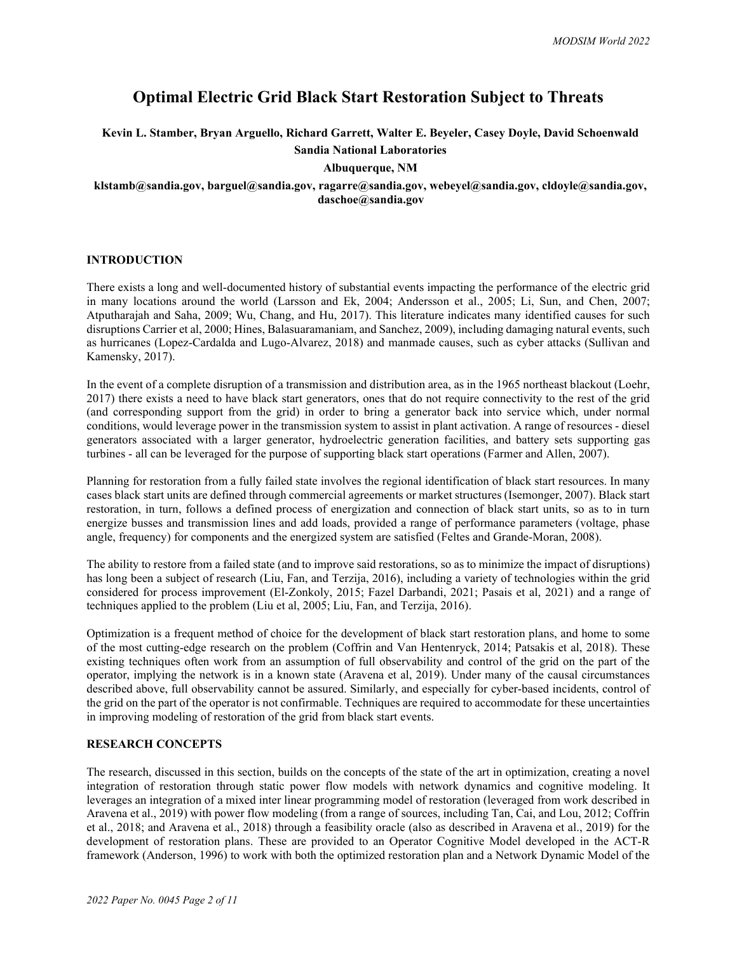# **Optimal Electric Grid Black Start Restoration Subject to Threats**

**Kevin L. Stamber, Bryan Arguello, Richard Garrett, Walter E. Beyeler, Casey Doyle, David Schoenwald**

**Sandia National Laboratories**

# **Albuquerque, NM**

# **klstamb@sandia.gov, barguel@sandia.gov, ragarre@sandia.gov, webeyel@sandia.gov, cldoyle@sandia.gov, daschoe@sandia.gov**

## **INTRODUCTION**

There exists a long and well-documented history of substantial events impacting the performance of the electric grid in many locations around the world (Larsson and Ek, 2004; Andersson et al., 2005; Li, Sun, and Chen, 2007; Atputharajah and Saha, 2009; Wu, Chang, and Hu, 2017). This literature indicates many identified causes for such disruptions Carrier et al, 2000; Hines, Balasuaramaniam, and Sanchez, 2009), including damaging natural events, such as hurricanes (Lopez-Cardalda and Lugo-Alvarez, 2018) and manmade causes, such as cyber attacks (Sullivan and Kamensky, 2017).

In the event of a complete disruption of a transmission and distribution area, as in the 1965 northeast blackout (Loehr, 2017) there exists a need to have black start generators, ones that do not require connectivity to the rest of the grid (and corresponding support from the grid) in order to bring a generator back into service which, under normal conditions, would leverage power in the transmission system to assist in plant activation. A range of resources - diesel generators associated with a larger generator, hydroelectric generation facilities, and battery sets supporting gas turbines - all can be leveraged for the purpose of supporting black start operations (Farmer and Allen, 2007).

Planning for restoration from a fully failed state involves the regional identification of black start resources. In many cases black start units are defined through commercial agreements or market structures (Isemonger, 2007). Black start restoration, in turn, follows a defined process of energization and connection of black start units, so as to in turn energize busses and transmission lines and add loads, provided a range of performance parameters (voltage, phase angle, frequency) for components and the energized system are satisfied (Feltes and Grande-Moran, 2008).

The ability to restore from a failed state (and to improve said restorations, so as to minimize the impact of disruptions) has long been a subject of research (Liu, Fan, and Terzija, 2016), including a variety of technologies within the grid considered for process improvement (El-Zonkoly, 2015; Fazel Darbandi, 2021; Pasais et al, 2021) and a range of techniques applied to the problem (Liu et al, 2005; Liu, Fan, and Terzija, 2016).

Optimization is a frequent method of choice for the development of black start restoration plans, and home to some of the most cutting-edge research on the problem (Coffrin and Van Hentenryck, 2014; Patsakis et al, 2018). These existing techniques often work from an assumption of full observability and control of the grid on the part of the operator, implying the network is in a known state (Aravena et al, 2019). Under many of the causal circumstances described above, full observability cannot be assured. Similarly, and especially for cyber-based incidents, control of the grid on the part of the operator is not confirmable. Techniques are required to accommodate for these uncertainties in improving modeling of restoration of the grid from black start events.

# **RESEARCH CONCEPTS**

The research, discussed in this section, builds on the concepts of the state of the art in optimization, creating a novel integration of restoration through static power flow models with network dynamics and cognitive modeling. It leverages an integration of a mixed inter linear programming model of restoration (leveraged from work described in Aravena et al., 2019) with power flow modeling (from a range of sources, including Tan, Cai, and Lou, 2012; Coffrin et al., 2018; and Aravena et al., 2018) through a feasibility oracle (also as described in Aravena et al., 2019) for the development of restoration plans. These are provided to an Operator Cognitive Model developed in the ACT-R framework (Anderson, 1996) to work with both the optimized restoration plan and a Network Dynamic Model of the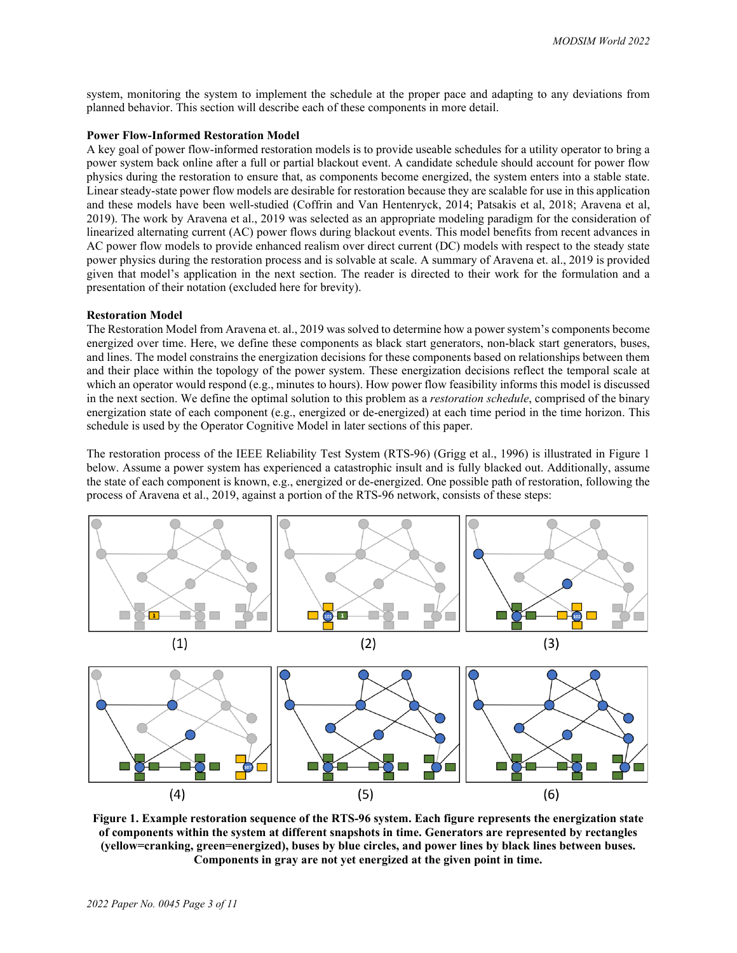system, monitoring the system to implement the schedule at the proper pace and adapting to any deviations from planned behavior. This section will describe each of these components in more detail.

#### **Power Flow-Informed Restoration Model**

A key goal of power flow-informed restoration models is to provide useable schedules for a utility operator to bring a power system back online after a full or partial blackout event. A candidate schedule should account for power flow physics during the restoration to ensure that, as components become energized, the system enters into a stable state. Linear steady-state power flow models are desirable for restoration because they are scalable for use in this application and these models have been well-studied (Coffrin and Van Hentenryck, 2014; Patsakis et al, 2018; Aravena et al, 2019). The work by Aravena et al., 2019 was selected as an appropriate modeling paradigm for the consideration of linearized alternating current (AC) power flows during blackout events. This model benefits from recent advances in AC power flow models to provide enhanced realism over direct current (DC) models with respect to the steady state power physics during the restoration process and is solvable at scale. A summary of Aravena et. al., 2019 is provided given that model's application in the next section. The reader is directed to their work for the formulation and a presentation of their notation (excluded here for brevity).

#### **Restoration Model**

The Restoration Model from Aravena et. al., 2019 was solved to determine how a power system's components become energized over time. Here, we define these components as black start generators, non-black start generators, buses, and lines. The model constrains the energization decisions for these components based on relationships between them and their place within the topology of the power system. These energization decisions reflect the temporal scale at which an operator would respond (e.g., minutes to hours). How power flow feasibility informs this model is discussed in the next section. We define the optimal solution to this problem as a *restoration schedule*, comprised of the binary energization state of each component (e.g., energized or de-energized) at each time period in the time horizon. This schedule is used by the Operator Cognitive Model in later sections of this paper.

The restoration process of the IEEE Reliability Test System (RTS-96) (Grigg et al., 1996) is illustrated in [Figure 1](#page-2-0) below. Assume a power system has experienced a catastrophic insult and is fully blacked out. Additionally, assume the state of each component is known, e.g., energized or de-energized. One possible path of restoration, following the process of Aravena et al., 2019, against a portion of the RTS-96 network, consists of these steps:



<span id="page-2-0"></span>**Figure 1. Example restoration sequence of the RTS-96 system. Each figure represents the energization state of components within the system at different snapshots in time. Generators are represented by rectangles (yellow=cranking, green=energized), buses by blue circles, and power lines by black lines between buses. Components in gray are not yet energized at the given point in time.**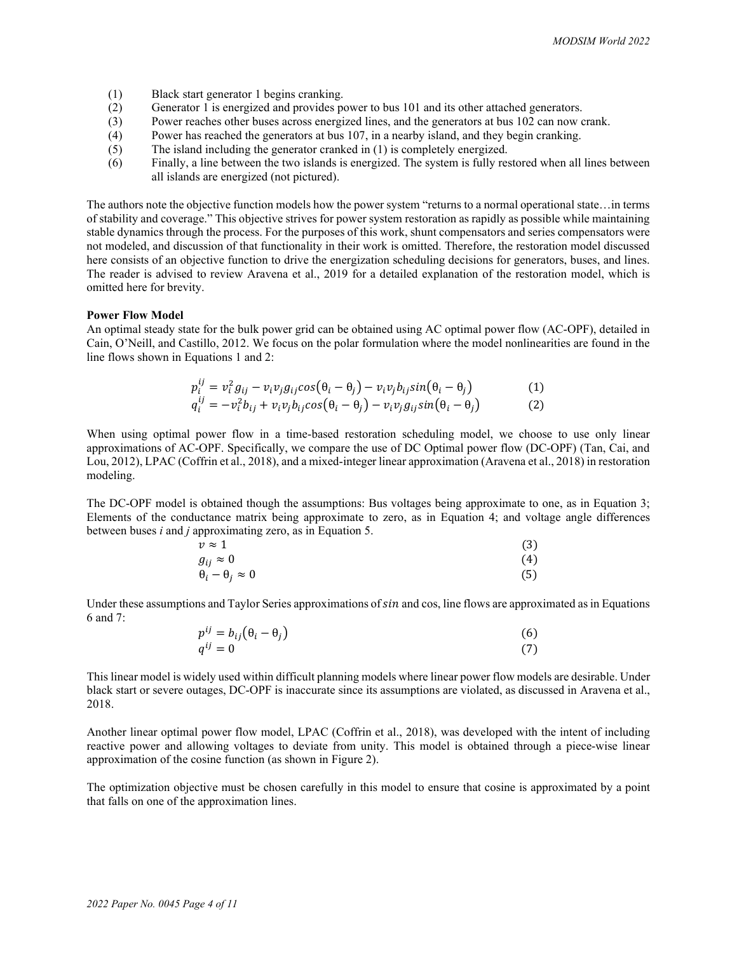- (1) Black start generator 1 begins cranking.
- (2) Generator 1 is energized and provides power to bus 101 and its other attached generators.
- (3) Power reaches other buses across energized lines, and the generators at bus 102 can now crank.
- (4) Power has reached the generators at bus 107, in a nearby island, and they begin cranking.
- (5) The island including the generator cranked in (1) is completely energized.
- (6) Finally, a line between the two islands is energized. The system is fully restored when all lines between all islands are energized (not pictured).

The authors note the objective function models how the power system "returns to a normal operational state…in terms of stability and coverage." This objective strives for power system restoration as rapidly as possible while maintaining stable dynamics through the process. For the purposes of this work, shunt compensators and series compensators were not modeled, and discussion of that functionality in their work is omitted. Therefore, the restoration model discussed here consists of an objective function to drive the energization scheduling decisions for generators, buses, and lines. The reader is advised to review Aravena et al., 2019 for a detailed explanation of the restoration model, which is omitted here for brevity.

#### **Power Flow Model**

An optimal steady state for the bulk power grid can be obtained using AC optimal power flow (AC-OPF), detailed in Cain, O'Neill, and Castillo, 2012. We focus on the polar formulation where the model nonlinearities are found in the line flows shown in Equations 1 and 2:

$$
p_i^{ij} = v_i^2 g_{ij} - v_i v_j g_{ij} cos(\theta_i - \theta_j) - v_i v_j b_{ij} sin(\theta_i - \theta_j)
$$
  
\n
$$
q_i^{ij} = -v_i^2 b_{ij} + v_i v_j b_{ij} cos(\theta_i - \theta_j) - v_i v_j g_{ij} sin(\theta_i - \theta_j)
$$
\n(1)

When using optimal power flow in a time-based restoration scheduling model, we choose to use only linear approximations of AC-OPF. Specifically, we compare the use of DC Optimal power flow (DC-OPF) (Tan, Cai, and Lou, 2012), LPAC (Coffrin et al., 2018), and a mixed-integer linear approximation (Aravena et al., 2018) in restoration modeling.

The DC-OPF model is obtained though the assumptions: Bus voltages being approximate to one, as in Equation 3; Elements of the conductance matrix being approximate to zero, as in Equation 4; and voltage angle differences between buses *i* and *j* approximating zero, as in Equation 5.

| $v \approx 1$                   | (3) |
|---------------------------------|-----|
| $g_{ij} \approx 0$              | (4) |
| $\theta_i - \theta_j \approx 0$ | (5) |

Under these assumptions and Taylor Series approximations of *sin* and cos, line flows are approximated as in Equations 6 and 7:

| $p^{ij} = b_{ij}(\theta_i - \theta_j)$ | (6) |
|----------------------------------------|-----|
| $q^{ij}=0$                             | (7) |

This linear model is widely used within difficult planning models where linear power flow models are desirable. Under black start or severe outages, DC-OPF is inaccurate since its assumptions are violated, as discussed in Aravena et al., 2018.

Another linear optimal power flow model, LPAC (Coffrin et al., 2018), was developed with the intent of including reactive power and allowing voltages to deviate from unity. This model is obtained through a piece-wise linear approximation of the cosine function (as shown in Figure 2).

The optimization objective must be chosen carefully in this model to ensure that cosine is approximated by a point that falls on one of the approximation lines.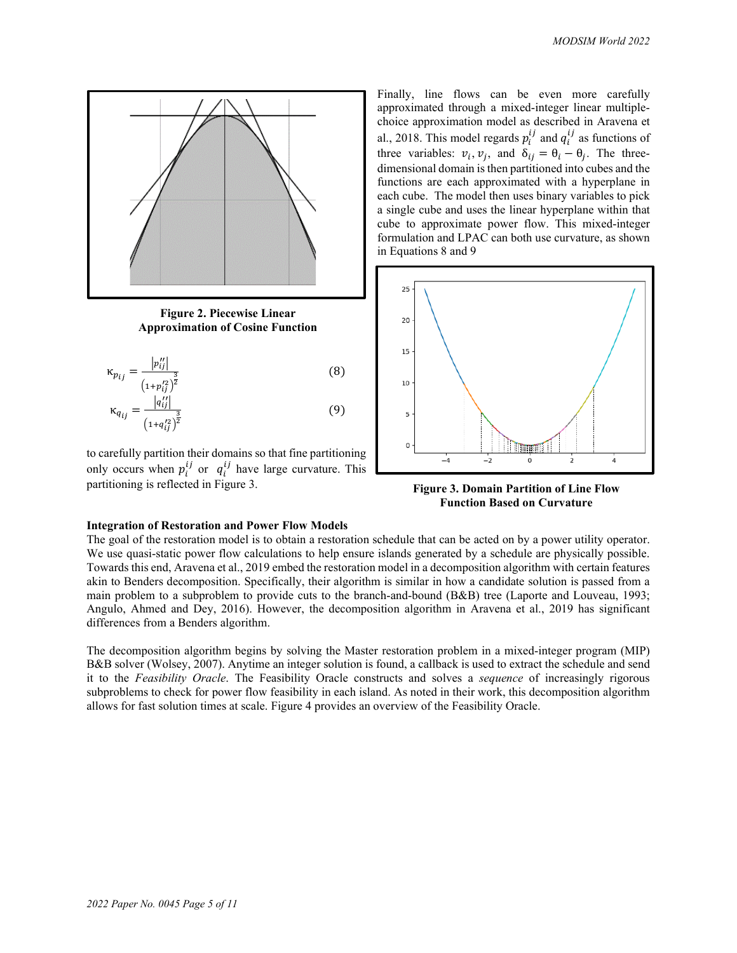

**Figure 2. Piecewise Linear Approximation of Cosine Function**

$$
\kappa_{p_{ij}} = \frac{|p_{ij}^{"}|}{\left(1 + p_{ij}^{'2}\right)^{\frac{3}{2}}}
$$
\n
$$
\kappa_{q_{ij}} = \frac{|q_{ij}^{"}|}{\left(1 + q_{ij}^{'2}\right)^{\frac{3}{2}}}
$$
\n(8)

to carefully partition their domains so that fine partitioning only occurs when  $p_i^{U}$  or  $q_i^{U}$  have large curvature. This partitioning is reflected in Figure 3.

Finally, line flows can be even more carefully approximated through a mixed-integer linear multiplechoice approximation model as described in Aravena et al., 2018. This model regards  $p_i^U$  and  $q_i^U$  as functions of three variables:  $v_i$ ,  $v_j$ , and  $\delta_{ij} = \theta_i - \theta_j$ . The threedimensional domain is then partitioned into cubes and the functions are each approximated with a hyperplane in each cube. The model then uses binary variables to pick a single cube and uses the linear hyperplane within that cube to approximate power flow. This mixed-integer formulation and LPAC can both use curvature, as shown in Equations 8 and 9



**Figure 3. Domain Partition of Line Flow Function Based on Curvature**

### **Integration of Restoration and Power Flow Models**

The goal of the restoration model is to obtain a restoration schedule that can be acted on by a power utility operator. We use quasi-static power flow calculations to help ensure islands generated by a schedule are physically possible. Towards this end, Aravena et al., 2019 embed the restoration model in a decomposition algorithm with certain features akin to Benders decomposition. Specifically, their algorithm is similar in how a candidate solution is passed from a main problem to a subproblem to provide cuts to the branch-and-bound (B&B) tree (Laporte and Louveau, 1993; Angulo, Ahmed and Dey, 2016). However, the decomposition algorithm in Aravena et al., 2019 has significant differences from a Benders algorithm.

The decomposition algorithm begins by solving the Master restoration problem in a mixed-integer program (MIP) B&B solver (Wolsey, 2007). Anytime an integer solution is found, a callback is used to extract the schedule and send it to the *Feasibility Oracle*. The Feasibility Oracle constructs and solves a *sequence* of increasingly rigorous subproblems to check for power flow feasibility in each island. As noted in their work, this decomposition algorithm allows for fast solution times at scale. Figure 4 provides an overview of the Feasibility Oracle.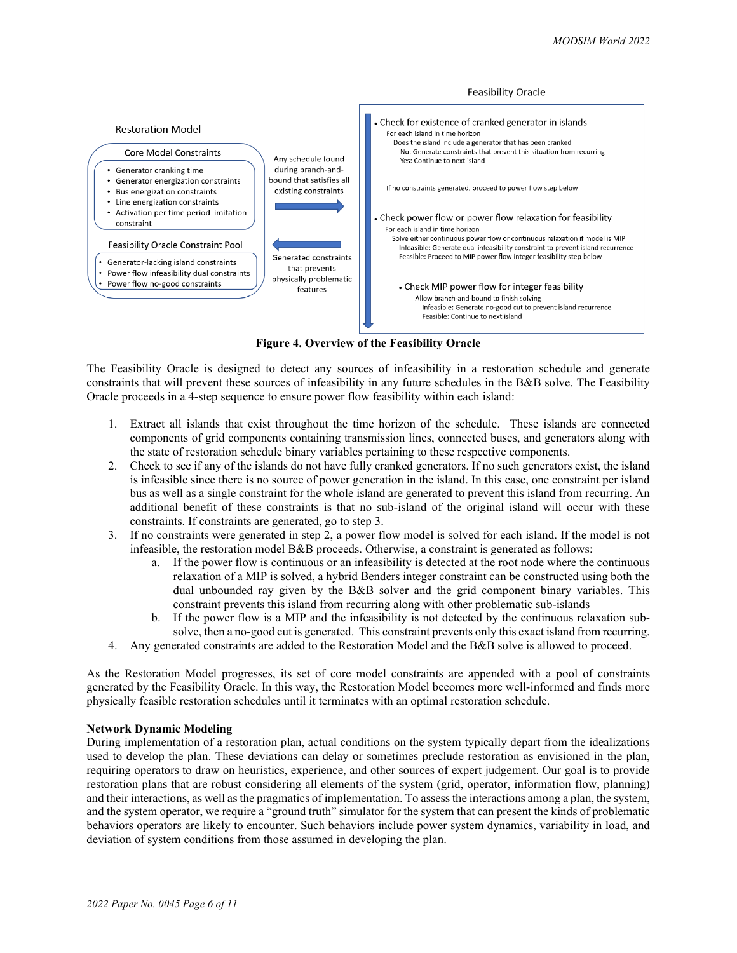

**Figure 4. Overview of the Feasibility Oracle**

The Feasibility Oracle is designed to detect any sources of infeasibility in a restoration schedule and generate constraints that will prevent these sources of infeasibility in any future schedules in the B&B solve. The Feasibility Oracle proceeds in a 4-step sequence to ensure power flow feasibility within each island:

- 1. Extract all islands that exist throughout the time horizon of the schedule. These islands are connected components of grid components containing transmission lines, connected buses, and generators along with the state of restoration schedule binary variables pertaining to these respective components.
- 2. Check to see if any of the islands do not have fully cranked generators. If no such generators exist, the island is infeasible since there is no source of power generation in the island. In this case, one constraint per island bus as well as a single constraint for the whole island are generated to prevent this island from recurring. An additional benefit of these constraints is that no sub-island of the original island will occur with these constraints. If constraints are generated, go to step 3.
- 3. If no constraints were generated in step 2, a power flow model is solved for each island. If the model is not infeasible, the restoration model B&B proceeds. Otherwise, a constraint is generated as follows:
	- a. If the power flow is continuous or an infeasibility is detected at the root node where the continuous relaxation of a MIP is solved, a hybrid Benders integer constraint can be constructed using both the dual unbounded ray given by the B&B solver and the grid component binary variables. This constraint prevents this island from recurring along with other problematic sub-islands
	- b. If the power flow is a MIP and the infeasibility is not detected by the continuous relaxation subsolve, then a no-good cut is generated. This constraint prevents only this exact island from recurring.
- 4. Any generated constraints are added to the Restoration Model and the B&B solve is allowed to proceed.

As the Restoration Model progresses, its set of core model constraints are appended with a pool of constraints generated by the Feasibility Oracle. In this way, the Restoration Model becomes more well-informed and finds more physically feasible restoration schedules until it terminates with an optimal restoration schedule.

### **Network Dynamic Modeling**

During implementation of a restoration plan, actual conditions on the system typically depart from the idealizations used to develop the plan. These deviations can delay or sometimes preclude restoration as envisioned in the plan, requiring operators to draw on heuristics, experience, and other sources of expert judgement. Our goal is to provide restoration plans that are robust considering all elements of the system (grid, operator, information flow, planning) and their interactions, as well as the pragmatics of implementation. To assess the interactions among a plan, the system, and the system operator, we require a "ground truth" simulator for the system that can present the kinds of problematic behaviors operators are likely to encounter. Such behaviors include power system dynamics, variability in load, and deviation of system conditions from those assumed in developing the plan.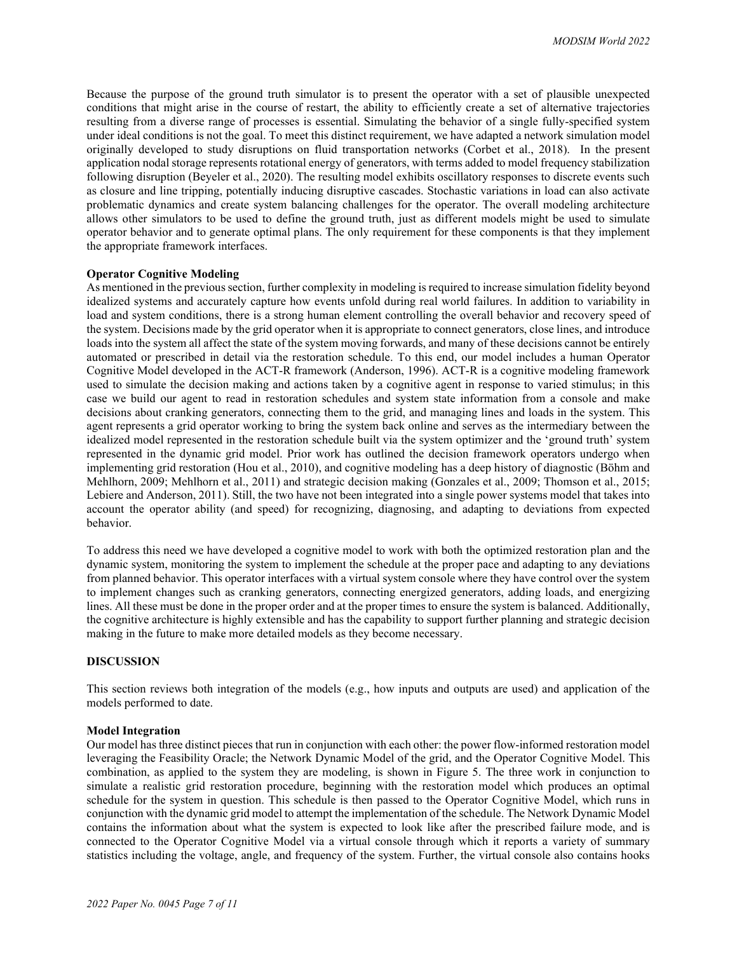Because the purpose of the ground truth simulator is to present the operator with a set of plausible unexpected conditions that might arise in the course of restart, the ability to efficiently create a set of alternative trajectories resulting from a diverse range of processes is essential. Simulating the behavior of a single fully-specified system under ideal conditions is not the goal. To meet this distinct requirement, we have adapted a network simulation model originally developed to study disruptions on fluid transportation networks (Corbet et al., 2018). In the present application nodal storage represents rotational energy of generators, with terms added to model frequency stabilization following disruption (Beyeler et al., 2020). The resulting model exhibits oscillatory responses to discrete events such as closure and line tripping, potentially inducing disruptive cascades. Stochastic variations in load can also activate problematic dynamics and create system balancing challenges for the operator. The overall modeling architecture allows other simulators to be used to define the ground truth, just as different models might be used to simulate operator behavior and to generate optimal plans. The only requirement for these components is that they implement the appropriate framework interfaces.

### **Operator Cognitive Modeling**

As mentioned in the previous section, further complexity in modeling is required to increase simulation fidelity beyond idealized systems and accurately capture how events unfold during real world failures. In addition to variability in load and system conditions, there is a strong human element controlling the overall behavior and recovery speed of the system. Decisions made by the grid operator when it is appropriate to connect generators, close lines, and introduce loads into the system all affect the state of the system moving forwards, and many of these decisions cannot be entirely automated or prescribed in detail via the restoration schedule. To this end, our model includes a human Operator Cognitive Model developed in the ACT-R framework (Anderson, 1996). ACT-R is a cognitive modeling framework used to simulate the decision making and actions taken by a cognitive agent in response to varied stimulus; in this case we build our agent to read in restoration schedules and system state information from a console and make decisions about cranking generators, connecting them to the grid, and managing lines and loads in the system. This agent represents a grid operator working to bring the system back online and serves as the intermediary between the idealized model represented in the restoration schedule built via the system optimizer and the 'ground truth' system represented in the dynamic grid model. Prior work has outlined the decision framework operators undergo when implementing grid restoration (Hou et al., 2010), and cognitive modeling has a deep history of diagnostic (Böhm and Mehlhorn, 2009; Mehlhorn et al., 2011) and strategic decision making (Gonzales et al., 2009; Thomson et al., 2015; Lebiere and Anderson, 2011). Still, the two have not been integrated into a single power systems model that takes into account the operator ability (and speed) for recognizing, diagnosing, and adapting to deviations from expected behavior.

To address this need we have developed a cognitive model to work with both the optimized restoration plan and the dynamic system, monitoring the system to implement the schedule at the proper pace and adapting to any deviations from planned behavior. This operator interfaces with a virtual system console where they have control over the system to implement changes such as cranking generators, connecting energized generators, adding loads, and energizing lines. All these must be done in the proper order and at the proper times to ensure the system is balanced. Additionally, the cognitive architecture is highly extensible and has the capability to support further planning and strategic decision making in the future to make more detailed models as they become necessary.

### **DISCUSSION**

This section reviews both integration of the models (e.g., how inputs and outputs are used) and application of the models performed to date.

#### **Model Integration**

Our model has three distinct pieces that run in conjunction with each other: the power flow-informed restoration model leveraging the Feasibility Oracle; the Network Dynamic Model of the grid, and the Operator Cognitive Model. This combination, as applied to the system they are modeling, is shown in Figure 5. The three work in conjunction to simulate a realistic grid restoration procedure, beginning with the restoration model which produces an optimal schedule for the system in question. This schedule is then passed to the Operator Cognitive Model, which runs in conjunction with the dynamic grid model to attempt the implementation of the schedule. The Network Dynamic Model contains the information about what the system is expected to look like after the prescribed failure mode, and is connected to the Operator Cognitive Model via a virtual console through which it reports a variety of summary statistics including the voltage, angle, and frequency of the system. Further, the virtual console also contains hooks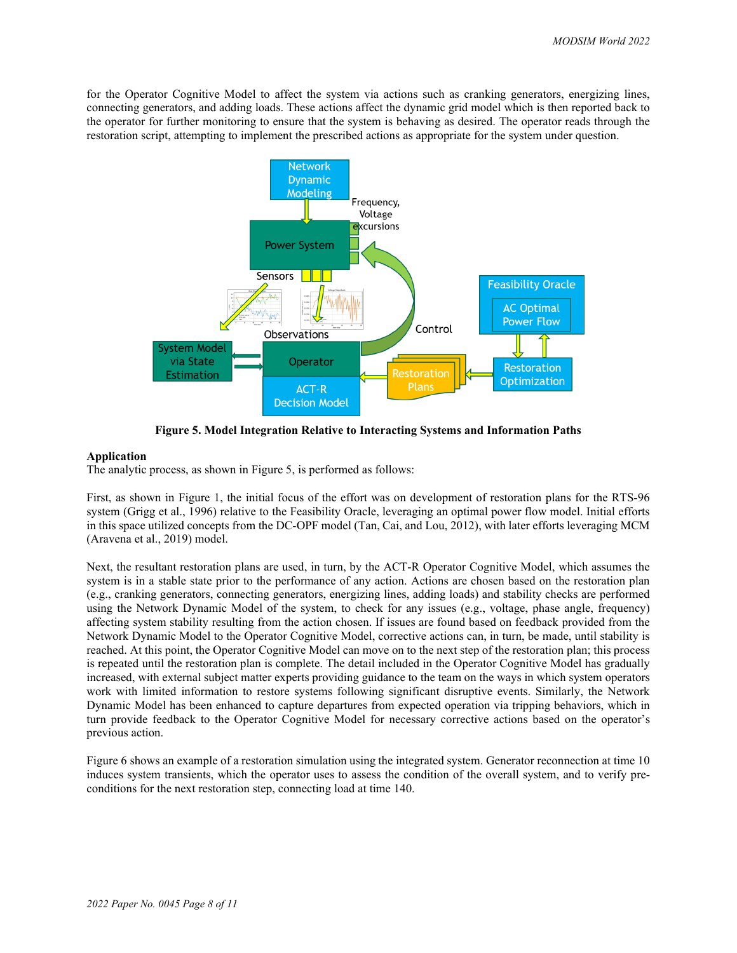for the Operator Cognitive Model to affect the system via actions such as cranking generators, energizing lines, connecting generators, and adding loads. These actions affect the dynamic grid model which is then reported back to the operator for further monitoring to ensure that the system is behaving as desired. The operator reads through the restoration script, attempting to implement the prescribed actions as appropriate for the system under question.



**Figure 5. Model Integration Relative to Interacting Systems and Information Paths**

### **Application**

The analytic process, as shown in Figure 5, is performed as follows:

First, as shown in Figure 1, the initial focus of the effort was on development of restoration plans for the RTS-96 system (Grigg et al., 1996) relative to the Feasibility Oracle, leveraging an optimal power flow model. Initial efforts in this space utilized concepts from the DC-OPF model (Tan, Cai, and Lou, 2012), with later efforts leveraging MCM (Aravena et al., 2019) model.

Next, the resultant restoration plans are used, in turn, by the ACT-R Operator Cognitive Model, which assumes the system is in a stable state prior to the performance of any action. Actions are chosen based on the restoration plan (e.g., cranking generators, connecting generators, energizing lines, adding loads) and stability checks are performed using the Network Dynamic Model of the system, to check for any issues (e.g., voltage, phase angle, frequency) affecting system stability resulting from the action chosen. If issues are found based on feedback provided from the Network Dynamic Model to the Operator Cognitive Model, corrective actions can, in turn, be made, until stability is reached. At this point, the Operator Cognitive Model can move on to the next step of the restoration plan; this process is repeated until the restoration plan is complete. The detail included in the Operator Cognitive Model has gradually increased, with external subject matter experts providing guidance to the team on the ways in which system operators work with limited information to restore systems following significant disruptive events. Similarly, the Network Dynamic Model has been enhanced to capture departures from expected operation via tripping behaviors, which in turn provide feedback to the Operator Cognitive Model for necessary corrective actions based on the operator's previous action.

Figure 6 shows an example of a restoration simulation using the integrated system. Generator reconnection at time 10 induces system transients, which the operator uses to assess the condition of the overall system, and to verify preconditions for the next restoration step, connecting load at time 140.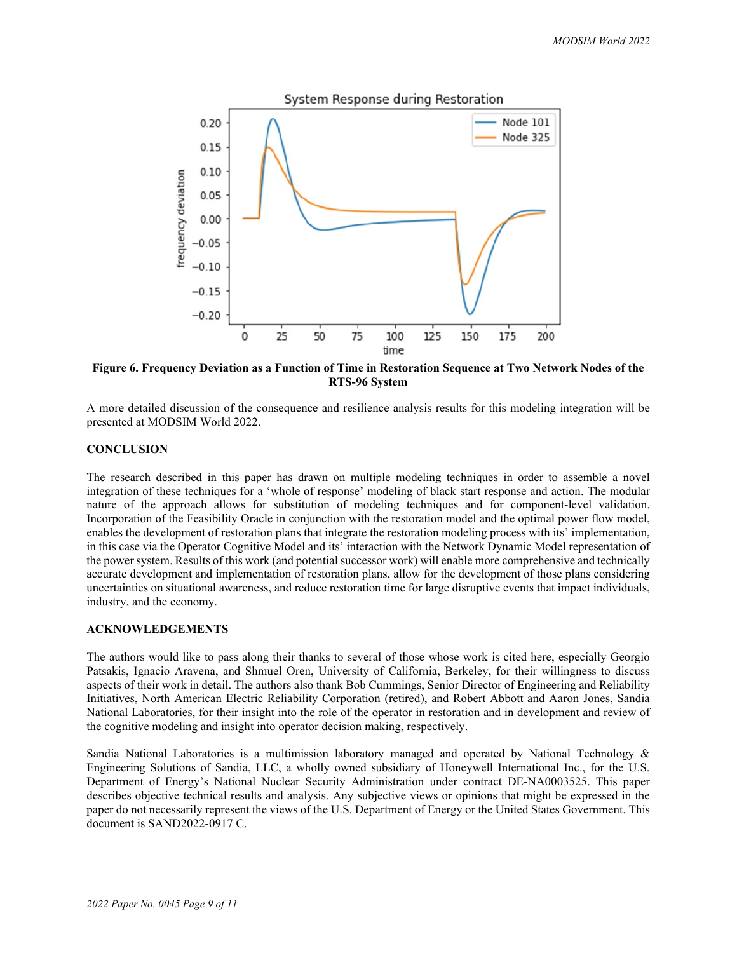

**Figure 6. Frequency Deviation as a Function of Time in Restoration Sequence at Two Network Nodes of the RTS-96 System**

A more detailed discussion of the consequence and resilience analysis results for this modeling integration will be presented at MODSIM World 2022.

### **CONCLUSION**

The research described in this paper has drawn on multiple modeling techniques in order to assemble a novel integration of these techniques for a 'whole of response' modeling of black start response and action. The modular nature of the approach allows for substitution of modeling techniques and for component-level validation. Incorporation of the Feasibility Oracle in conjunction with the restoration model and the optimal power flow model, enables the development of restoration plans that integrate the restoration modeling process with its' implementation, in this case via the Operator Cognitive Model and its' interaction with the Network Dynamic Model representation of the power system. Results of this work (and potential successor work) will enable more comprehensive and technically accurate development and implementation of restoration plans, allow for the development of those plans considering uncertainties on situational awareness, and reduce restoration time for large disruptive events that impact individuals, industry, and the economy.

### **ACKNOWLEDGEMENTS**

The authors would like to pass along their thanks to several of those whose work is cited here, especially Georgio Patsakis, Ignacio Aravena, and Shmuel Oren, University of California, Berkeley, for their willingness to discuss aspects of their work in detail. The authors also thank Bob Cummings, Senior Director of Engineering and Reliability Initiatives, North American Electric Reliability Corporation (retired), and Robert Abbott and Aaron Jones, Sandia National Laboratories, for their insight into the role of the operator in restoration and in development and review of the cognitive modeling and insight into operator decision making, respectively.

Sandia National Laboratories is a multimission laboratory managed and operated by National Technology & Engineering Solutions of Sandia, LLC, a wholly owned subsidiary of Honeywell International Inc., for the U.S. Department of Energy's National Nuclear Security Administration under contract DE-NA0003525. This paper describes objective technical results and analysis. Any subjective views or opinions that might be expressed in the paper do not necessarily represent the views of the U.S. Department of Energy or the United States Government. This document is SAND2022-0917 C.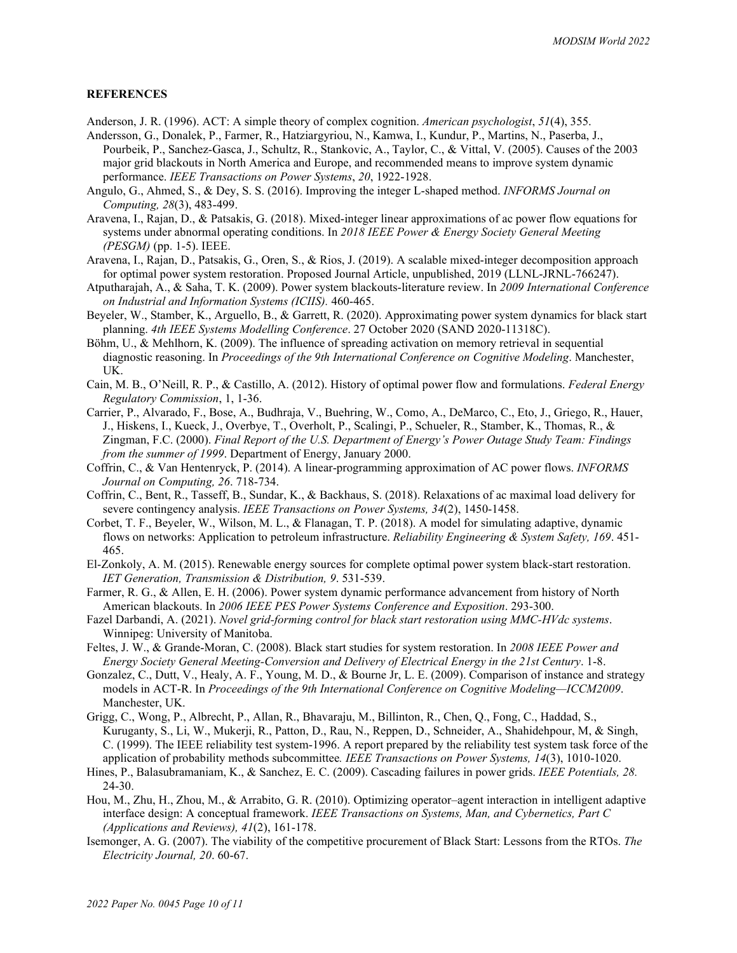## **REFERENCES**

- Anderson, J. R. (1996). ACT: A simple theory of complex cognition. *American psychologist*, *51*(4), 355.
- Andersson, G., Donalek, P., Farmer, R., Hatziargyriou, N., Kamwa, I., Kundur, P., Martins, N., Paserba, J., Pourbeik, P., Sanchez-Gasca, J., Schultz, R., Stankovic, A., Taylor, C., & Vittal, V. (2005). Causes of the 2003 major grid blackouts in North America and Europe, and recommended means to improve system dynamic performance. *IEEE Transactions on Power Systems*, *20*, 1922-1928.
- Angulo, G., Ahmed, S., & Dey, S. S. (2016). Improving the integer L-shaped method. *INFORMS Journal on Computing, 28*(3), 483-499.
- Aravena, I., Rajan, D., & Patsakis, G. (2018). Mixed-integer linear approximations of ac power flow equations for systems under abnormal operating conditions. In *2018 IEEE Power & Energy Society General Meeting (PESGM)* (pp. 1-5). IEEE.
- Aravena, I., Rajan, D., Patsakis, G., Oren, S., & Rios, J. (2019). A scalable mixed-integer decomposition approach for optimal power system restoration. Proposed Journal Article, unpublished, 2019 (LLNL-JRNL-766247).
- Atputharajah, A., & Saha, T. K. (2009). Power system blackouts-literature review. In *2009 International Conference on Industrial and Information Systems (ICIIS).* 460-465.
- Beyeler, W., Stamber, K., Arguello, B., & Garrett, R. (2020). Approximating power system dynamics for black start planning. *4th IEEE Systems Modelling Conference*. 27 October 2020 (SAND 2020-11318C).
- Böhm, U., & Mehlhorn, K. (2009). The influence of spreading activation on memory retrieval in sequential diagnostic reasoning. In *Proceedings of the 9th International Conference on Cognitive Modeling*. Manchester, UK.
- Cain, M. B., O'Neill, R. P., & Castillo, A. (2012). History of optimal power flow and formulations. *Federal Energy Regulatory Commission*, 1, 1-36.
- Carrier, P., Alvarado, F., Bose, A., Budhraja, V., Buehring, W., Como, A., DeMarco, C., Eto, J., Griego, R., Hauer, J., Hiskens, I., Kueck, J., Overbye, T., Overholt, P., Scalingi, P., Schueler, R., Stamber, K., Thomas, R., & Zingman, F.C. (2000). *Final Report of the U.S. Department of Energy's Power Outage Study Team: Findings from the summer of 1999*. Department of Energy, January 2000.
- Coffrin, C., & Van Hentenryck, P. (2014). A linear-programming approximation of AC power flows. *INFORMS Journal on Computing, 26*. 718-734.
- Coffrin, C., Bent, R., Tasseff, B., Sundar, K., & Backhaus, S. (2018). Relaxations of ac maximal load delivery for severe contingency analysis. *IEEE Transactions on Power Systems, 34*(2), 1450-1458.
- Corbet, T. F., Beyeler, W., Wilson, M. L., & Flanagan, T. P. (2018). A model for simulating adaptive, dynamic flows on networks: Application to petroleum infrastructure. *Reliability Engineering & System Safety, 169*. 451- 465.
- El-Zonkoly, A. M. (2015). Renewable energy sources for complete optimal power system black-start restoration. *IET Generation, Transmission & Distribution, 9*. 531-539.
- Farmer, R. G., & Allen, E. H. (2006). Power system dynamic performance advancement from history of North American blackouts. In *2006 IEEE PES Power Systems Conference and Exposition*. 293-300.
- Fazel Darbandi, A. (2021). *Novel grid-forming control for black start restoration using MMC-HVdc systems*. Winnipeg: University of Manitoba.
- Feltes, J. W., & Grande-Moran, C. (2008). Black start studies for system restoration. In *2008 IEEE Power and Energy Society General Meeting-Conversion and Delivery of Electrical Energy in the 21st Century*. 1-8.
- Gonzalez, C., Dutt, V., Healy, A. F., Young, M. D., & Bourne Jr, L. E. (2009). Comparison of instance and strategy models in ACT-R. In *Proceedings of the 9th International Conference on Cognitive Modeling—ICCM2009*. Manchester, UK.
- Grigg, C., Wong, P., Albrecht, P., Allan, R., Bhavaraju, M., Billinton, R., Chen, Q., Fong, C., Haddad, S., Kuruganty, S., Li, W., Mukerji, R., Patton, D., Rau, N., Reppen, D., Schneider, A., Shahidehpour, M, & Singh, C. (1999). The IEEE reliability test system-1996. A report prepared by the reliability test system task force of the application of probability methods subcommittee*. IEEE Transactions on Power Systems, 14*(3), 1010-1020.
- Hines, P., Balasubramaniam, K., & Sanchez, E. C. (2009). Cascading failures in power grids. *IEEE Potentials, 28.* 24-30.
- Hou, M., Zhu, H., Zhou, M., & Arrabito, G. R. (2010). Optimizing operator–agent interaction in intelligent adaptive interface design: A conceptual framework. *IEEE Transactions on Systems, Man, and Cybernetics, Part C (Applications and Reviews), 41*(2), 161-178.
- Isemonger, A. G. (2007). The viability of the competitive procurement of Black Start: Lessons from the RTOs. *The Electricity Journal, 20*. 60-67.